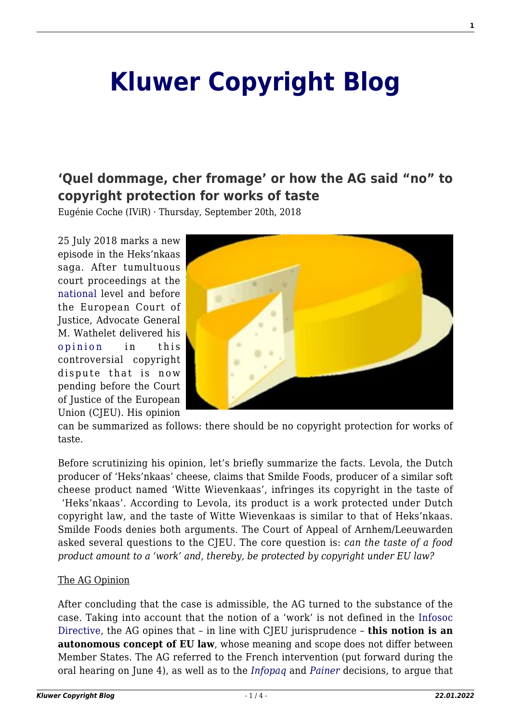# **[Kluwer Copyright Blog](http://copyrightblog.kluweriplaw.com/)**

## **['Quel dommage, cher fromage' or how the AG said "no" to](http://copyrightblog.kluweriplaw.com/2018/09/20/quel-dommage-cher-fromage-ag-said-no-copyright-protection-works-taste/) [copyright protection for works of taste](http://copyrightblog.kluweriplaw.com/2018/09/20/quel-dommage-cher-fromage-ag-said-no-copyright-protection-works-taste/)**

Eugénie Coche (IViR) · Thursday, September 20th, 2018

25 July 2018 marks a new episode in the Heks'nkaas saga. After tumultuous court proceedings at the [national](http://copyrightblog.kluweriplaw.com/2018/01/31/taste-subject-copyright-protection-heksenkaas-will-tell-us/) level and before the European Court of Justice, Advocate General M. Wathelet delivered his [opinion](http://curia.europa.eu/juris/document/document.jsf?text=&docid=204426&pageIndex=0&doclang=NL&mode=req&dir=&occ=first&part=1&cid=733815) in this controversial copyright dispute that is now pending before the Court of Justice of the European Union (CJEU). His opinion



can be summarized as follows: there should be no copyright protection for works of taste.

Before scrutinizing his opinion, let's briefly summarize the facts. Levola, the Dutch producer of 'Heks'nkaas' cheese, claims that Smilde Foods, producer of a similar soft cheese product named 'Witte Wievenkaas', infringes its copyright in the taste of 'Heks'nkaas'. According to Levola, its product is a work protected under Dutch copyright law, and the taste of Witte Wievenkaas is similar to that of Heks'nkaas. Smilde Foods denies both arguments. The Court of Appeal of Arnhem/Leeuwarden asked several questions to the CJEU. The core question is: *can the taste of a food product amount to a 'work' and, thereby, be protected by copyright under EU law?*

#### The AG Opinion

After concluding that the case is admissible, the AG turned to the substance of the case. Taking into account that the notion of a 'work' is not defined in the [Infosoc](https://eur-lex.europa.eu/LexUriServ/LexUriServ.do?uri=CELEX:32001L0029:EN:HTML) [Directive](https://eur-lex.europa.eu/LexUriServ/LexUriServ.do?uri=CELEX:32001L0029:EN:HTML), the AG opines that – in line with CJEU jurisprudence – **this notion is an autonomous concept of EU law**, whose meaning and scope does not differ between Member States. The AG referred to the French intervention (put forward during the oral hearing on June 4), as well as to the *[Infopaq](http://curia.europa.eu/juris/document/document.jsf?text=&docid=72482&pageIndex=0&doclang=EN&mode=lst&dir=&occ=first&part=1&cid=351543)* and *[Painer](https://eur-lex.europa.eu/legal-content/EN/TXT/?uri=CELEX%3A62010CJ0145)* decisions, to argue that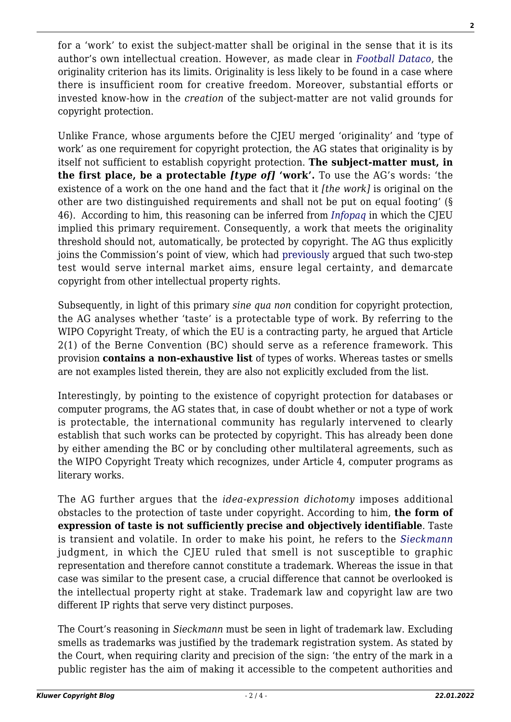for a 'work' to exist the subject-matter shall be original in the sense that it is its author's own intellectual creation. However, as made clear in *[Football Dataco](http://curia.europa.eu/juris/document/document.jsf?docid=119904&doclang=EN)*, the originality criterion has its limits. Originality is less likely to be found in a case where there is insufficient room for creative freedom. Moreover, substantial efforts or invested know-how in the *creation* of the subject-matter are not valid grounds for copyright protection.

Unlike France, whose arguments before the CJEU merged 'originality' and 'type of work' as one requirement for copyright protection, the AG states that originality is by itself not sufficient to establish copyright protection. **The subject-matter must, in the first place, be a protectable** *[type of]* **'work'.** To use the AG's words: 'the existence of a work on the one hand and the fact that it *[the work]* is original on the other are two distinguished requirements and shall not be put on equal footing' (§ 46). According to him, this reasoning can be inferred from *[Infopaq](http://curia.europa.eu/juris/document/document.jsf?text=&docid=72482&pageIndex=0&doclang=EN&mode=lst&dir=&occ=first&part=1&cid=359274)* in which the CJEU implied this primary requirement. Consequently, a work that meets the originality threshold should not, automatically, be protected by copyright. The AG thus explicitly joins the Commission's point of view, which had [previously](http://copyrightblog.kluweriplaw.com/2018/06/26/heksnkaas-cjeu-end-cheese-war-beginning-new-copyright-era/) argued that such two-step test would serve internal market aims, ensure legal certainty, and demarcate copyright from other intellectual property rights.

Subsequently, in light of this primary *sine qua non* condition for copyright protection, the AG analyses whether 'taste' is a protectable type of work. By referring to the WIPO Copyright Treaty, of which the EU is a contracting party, he argued that Article 2(1) of the Berne Convention (BC) should serve as a reference framework. This provision **contains a non-exhaustive list** of types of works. Whereas tastes or smells are not examples listed therein, they are also not explicitly excluded from the list.

Interestingly, by pointing to the existence of copyright protection for databases or computer programs, the AG states that, in case of doubt whether or not a type of work is protectable, the international community has regularly intervened to clearly establish that such works can be protected by copyright. This has already been done by either amending the BC or by concluding other multilateral agreements, such as the WIPO Copyright Treaty which recognizes, under Article 4, computer programs as literary works.

The AG further argues that the *idea-expression dichotomy* imposes additional obstacles to the protection of taste under copyright. According to him, **the form of expression of taste is not sufficiently precise and objectively identifiable**. Taste is transient and volatile. In order to make his point, he refers to the *[Sieckmann](https://eur-lex.europa.eu/legal-content/EN/TXT/?uri=CELEX%3A62000CJ0273)* judgment, in which the CJEU ruled that smell is not susceptible to graphic representation and therefore cannot constitute a trademark. Whereas the issue in that case was similar to the present case, a crucial difference that cannot be overlooked is the intellectual property right at stake. Trademark law and copyright law are two different IP rights that serve very distinct purposes.

The Court's reasoning in *Sieckmann* must be seen in light of trademark law. Excluding smells as trademarks was justified by the trademark registration system. As stated by the Court, when requiring clarity and precision of the sign: 'the entry of the mark in a public register has the aim of making it accessible to the competent authorities and **2**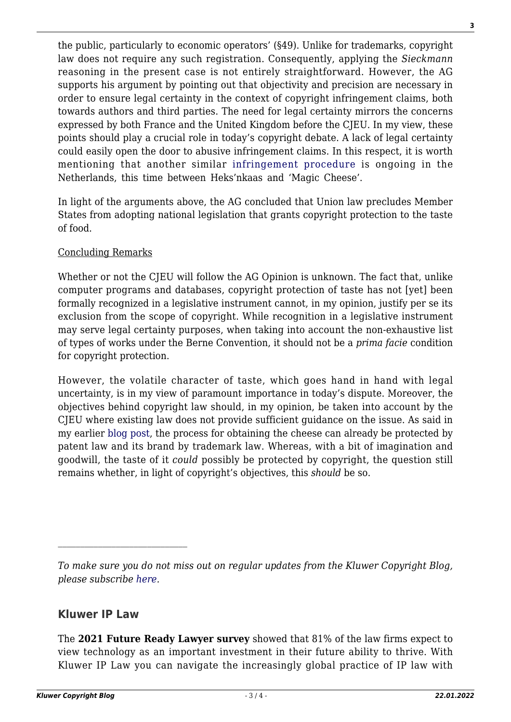the public, particularly to economic operators' (§49). Unlike for trademarks, copyright law does not require any such registration. Consequently, applying the *Sieckmann* reasoning in the present case is not entirely straightforward. However, the AG supports his argument by pointing out that objectivity and precision are necessary in order to ensure legal certainty in the context of copyright infringement claims, both towards authors and third parties. The need for legal certainty mirrors the concerns expressed by both France and the United Kingdom before the CJEU. In my view, these points should play a crucial role in today's copyright debate. A lack of legal certainty could easily open the door to abusive infringement claims. In this respect, it is worth mentioning that another similar [infringement procedure](https://uitspraken.rechtspraak.nl/inziendocument?id=ECLI:NL:RBDHA:2017:4384#_c53dcbdf-9e83-4f0c-962f-e23fa95dde95) is ongoing in the Netherlands, this time between Heks'nkaas and 'Magic Cheese'.

In light of the arguments above, the AG concluded that Union law precludes Member States from adopting national legislation that grants copyright protection to the taste of food.

#### Concluding Remarks

Whether or not the CJEU will follow the AG Opinion is unknown. The fact that, unlike computer programs and databases, copyright protection of taste has not [yet] been formally recognized in a legislative instrument cannot, in my opinion, justify per se its exclusion from the scope of copyright. While recognition in a legislative instrument may serve legal certainty purposes, when taking into account the non-exhaustive list of types of works under the Berne Convention, it should not be a *prima facie* condition for copyright protection.

However, the volatile character of taste, which goes hand in hand with legal uncertainty, is in my view of paramount importance in today's dispute. Moreover, the objectives behind copyright law should, in my opinion, be taken into account by the CJEU where existing law does not provide sufficient guidance on the issue. As said in my earlier [blog post,](http://copyrightblog.kluweriplaw.com/2018/01/31/taste-subject-copyright-protection-heksenkaas-will-tell-us/) the process for obtaining the cheese can already be protected by patent law and its brand by trademark law. Whereas, with a bit of imagination and goodwill, the taste of it *could* possibly be protected by copyright, the question still remains whether, in light of copyright's objectives, this *should* be so.

### **Kluwer IP Law**

The **2021 Future Ready Lawyer survey** showed that 81% of the law firms expect to view technology as an important investment in their future ability to thrive. With Kluwer IP Law you can navigate the increasingly global practice of IP law with **3**

*To make sure you do not miss out on regular updates from the Kluwer Copyright Blog, please subscribe [here.](http://copyrightblog.kluweriplaw.com/newsletter)*